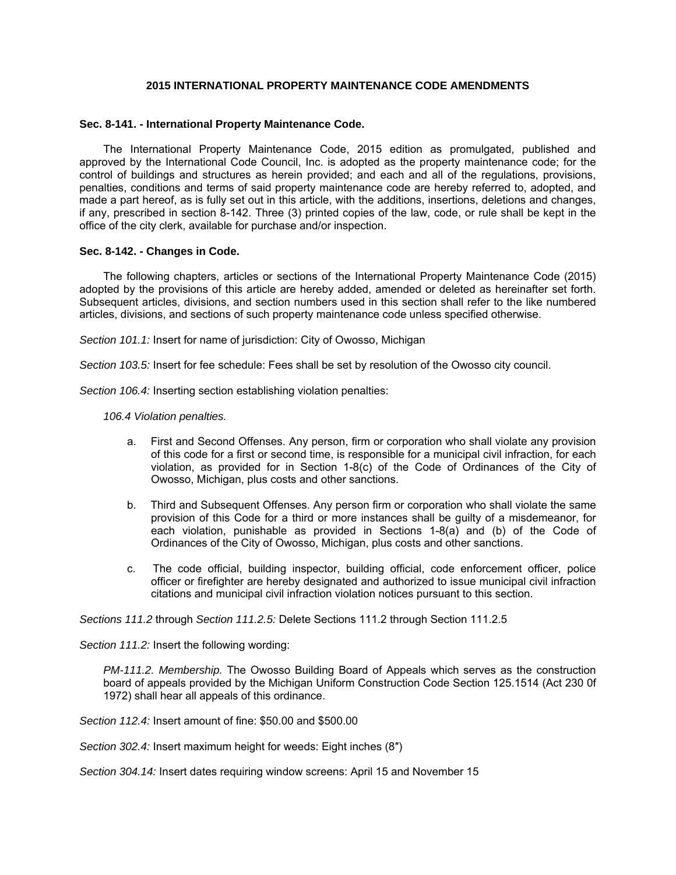## **2015 INTERNATIONAL PROPERTY MAINTENANCE CODE AMENDMENTS**

## **Sec. 8-141. - International Property Maintenance Code.**

The International Property Maintenance Code, 2015 edition as promulgated, published and approved by the International Code Council, Inc. is adopted as the property maintenance code; for the control of buildings and structures as herein provided; and each and all of the regulations, provisions, penalties, conditions and terms of said property maintenance code are hereby referred to, adopted, and made a part hereof, as is fully set out in this article, with the additions, insertions, deletions and changes, if any, prescribed in section 8-142. Three (3) printed copies of the law, code, or rule shall be kept in the office of the city clerk, available for purchase and/or inspection.

## **Sec. 8-142. - Changes in Code.**

The following chapters, articles or sections of the International Property Maintenance Code (2015) adopted by the provisions of this article are hereby added, amended or deleted as hereinafter set forth. Subsequent articles, divisions, and section numbers used in this section shall refer to the like numbered articles, divisions, and sections of such property maintenance code unless specified otherwise.

*Section 101.1:* Insert for name of jurisdiction: City of Owosso, Michigan

*Section 103.5:* Insert for fee schedule: Fees shall be set by resolution of the Owosso city council.

*Section 106.4:* Inserting section establishing violation penalties:

*106.4 Violation penalties.*

- a. First and Second Offenses. Any person, firm or corporation who shall violate any provision of this code for a first or second time, is responsible for a municipal civil infraction, for each violation, as provided for in Section 1-8(c) of the Code of Ordinances of the City of Owosso, Michigan, plus costs and other sanctions.
- b. Third and Subsequent Offenses. Any person firm or corporation who shall violate the same provision of this Code for a third or more instances shall be guilty of a misdemeanor, for each violation, punishable as provided in Sections 1-8(a) and (b) of the Code of Ordinances of the City of Owosso, Michigan, plus costs and other sanctions.
- c. The code official, building inspector, building official, code enforcement officer, police officer or firefighter are hereby designated and authorized to issue municipal civil infraction citations and municipal civil infraction violation notices pursuant to this section.

*Sections 111.2* through *Section 111.2.5:* Delete Sections 111.2 through Section 111.2.5

*Section 111.2:* Insert the following wording:

*PM-111.2. Membership.* The Owosso Building Board of Appeals which serves as the construction board of appeals provided by the Michigan Uniform Construction Code Section 125.1514 (Act 230 0f 1972) shall hear all appeals of this ordinance.

*Section 112.4:* Insert amount of fine: \$50.00 and \$500.00

*Section 302.4:* Insert maximum height for weeds: Eight inches (8″)

*Section 304.14:* Insert dates requiring window screens: April 15 and November 15